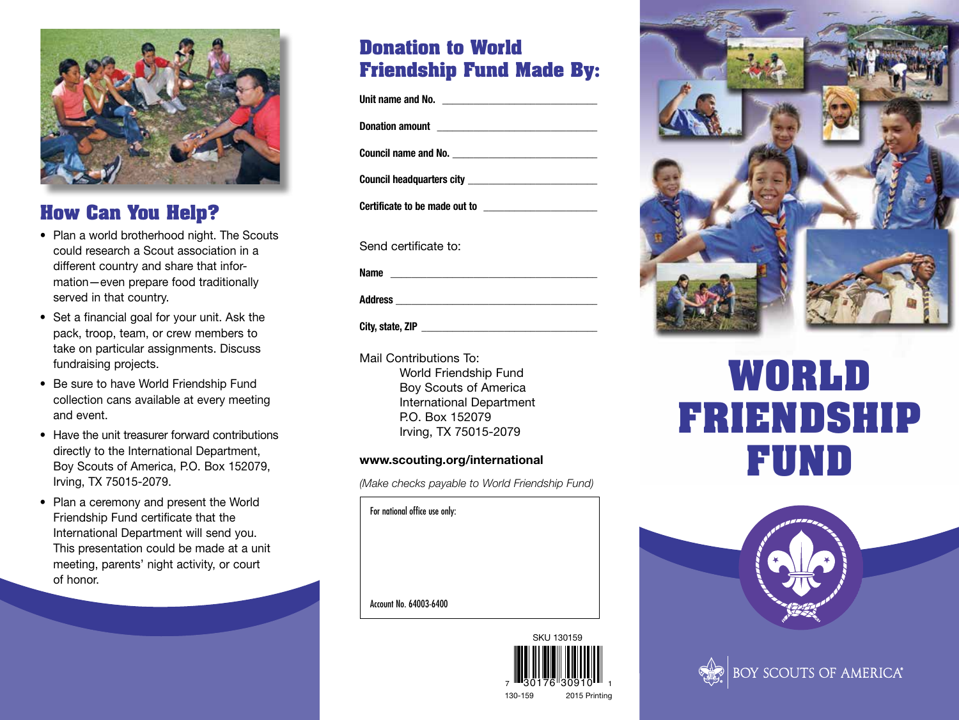

## **How Can You Help?**

- Plan a world brotherhood night. The Scouts could research a Scout association in a different country and share that information—even prepare food traditionally served in that country.
- Set a financial goal for your unit. Ask the pack, troop, team, or crew members to take on particular assignments. Discuss fundraising projects.
- Be sure to have World Friendship Fund collection cans available at every meeting and event.
- Have the unit treasurer forward contributions directly to the International Department, Boy Scouts of America, P.O. Box 152079, Irving, TX 75015-2079.
- Plan a ceremony and present the World Friendship Fund certificate that the International Department will send you. This presentation could be made at a unit meeting, parents' night activity, or court of honor.

## **Donation to World Friendship Fund Made By:**

Unit name and No.

**Donation amount \_\_\_\_\_\_\_\_\_\_\_\_\_\_\_\_\_\_\_\_\_\_\_\_\_\_\_\_\_\_\_**

**Council name and No. \_\_\_\_\_\_\_\_\_\_\_\_\_\_\_\_\_\_\_\_\_\_\_\_\_\_\_\_**

**Council headquarters city \_\_\_\_\_\_\_\_\_\_\_\_\_\_\_\_\_\_\_\_\_\_\_\_\_**

**Certificate to be made out to \_\_\_\_\_\_\_\_\_\_\_\_\_\_\_\_\_\_\_\_\_\_**

Send certificate to:

**Name \_\_\_\_\_\_\_\_\_\_\_\_\_\_\_\_\_\_\_\_\_\_\_\_\_\_\_\_\_\_\_\_\_\_\_\_\_\_\_\_**

**Address \_\_\_\_\_\_\_\_\_\_\_\_\_\_\_\_\_\_\_\_\_\_\_\_\_\_\_\_\_\_\_\_\_\_\_\_\_\_\_**

City, state, ZIP

Mail Contributions To: World Friendship Fund Boy Scouts of America International Department P.O. Box 152079 Irving, TX 75015-2079

#### **www.scouting.org/international**

*(Make checks payable to World Friendship Fund)*





# **WORLD FRIENDSHIP FUND**





For national office use only:

Account No. 64003-6400